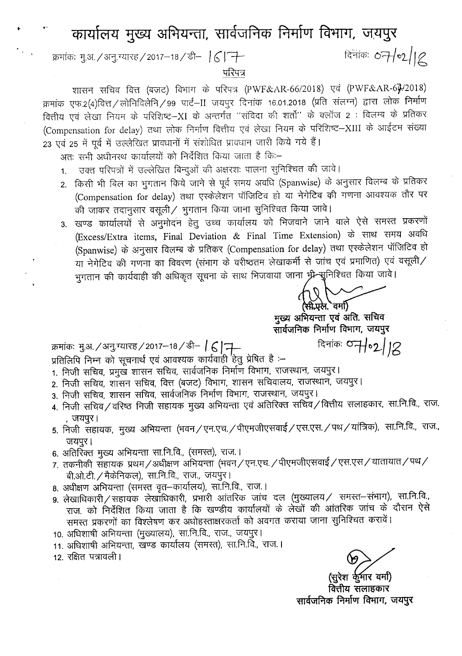# **CbILIl61LI <sup>~</sup> ~, fll&\J1R1Cb R1JiTo<sup>l</sup> fcNrT, \J1.LI9J'!**

क्रमांकः मु.अ. / अनु.ग्यारह / 2017–18 / डी $-$  |  $\epsilon$ | नि $+$   $\epsilon$  =  $\epsilon$  =  $\epsilon$  =  $\epsilon$  =  $\epsilon$  =  $\epsilon$  =  $\epsilon$  =  $\epsilon$  =  $\epsilon$  =  $\epsilon$  =  $\epsilon$  =  $\epsilon$  =  $\epsilon$  =  $\epsilon$  =  $\epsilon$  =  $\epsilon$  =  $\epsilon$  =  $\epsilon$  =  $\epsilon$  =  $\epsilon$  =  $\epsilon$  =  $\epsilon$  =  $\epsilon$  =

..

परिपत्र

शासन सचिव वित्त (बजट) विभाग के परिपत्र (PWF&AR-66/2018) एवं (PWF&AR-6 $\frac{7}{2}$ 018)  $~$ क्रमांक एफ.2(4)वित्त $\,$ लोनिविलेनि $\,$ 99 पार्ट $-$ II जयपुर दिनांक 16.01.2018 (प्रति संलग्न) द्वारा लोक निर्माण वित्तीय एवं लेखा नियम के परिशिष्ट–XI के अन्तर्गत ''संविदा की शर्तो'' के क्लॉज 2 : विलम्ब के प्रतिकर (Compensation for delay) तथा लोक निर्माण वित्तीय एवं लेखा नियम के परिशिष्ट–XIII के आईटम संख्या 23 एवं 25 में पूर्व में उल्लेखित प्रावधानों में संशोधित प्रावधान जारी किये गये हैं।

अतः सभी अधीनस्थ कार्यालयों को निर्देशित किया जाता है कि:-

- 1. उक्त परिपत्रों में उल्लेखित बिन्दुओं की अक्षरशः पालना सुनिश्चित की जावे।
- 2. किसी भी बिल का भुगतान किये जाने से पूर्व समय अवधि (Spanwise) के अनुसार विलम्ब के प्रतिकर (Compensation for delay) तथा एस्केलेशन पॉजिटिव हो या नेगेटिव की गणना आवश्यक तौर पर की जाकर तदानुसार वसूली/ भुगतान किया जाना सुनिश्चित किया जावे।
- 3. खण्ड कार्यालयों से अनुमोदन हेतु उच्च कार्यालय को भिजवाने जाने वाले ऐसे समस्त प्रकरणों (Excess/Extra items, Final Deviation & Final Time Extension) के साथ समय अवधि (Spanwise) के अनुसार विलम्ब के प्रतिकर (Compensation for delay) तथा एस्केलेशन पॉजिटिव हो या नेगेटिव की गणना का विवरण (संभाग के वरीष्ठतम लेखाकर्मी से जांच एवं प्रमाणित) एवं वसूली $\angle$ भुगतान की कार्यवाही की अधिकृत सूचना के साथ भिजवाया जाना <del>ग्री-सुु</del>निश्चित किया जावे।

व एवं प्रमाणित)<br>नेश्चित किया ज<br>.<br>. **वर्मा)**<br>. एवं अति. सचिव<br>.

मुख्य अभियन्ता एवं अति. सचिव  $\overline{3}$  सार्वजनिक निर्माण विभाग, जयपुर

~: ~.3T./3f:J.n:rR6/2017-18/~- *<sup>I</sup>* **<sup>G</sup> IT ~: 9-/o2-/}g** प्रतिलिपि निम्न को सूचनार्थ एवं आवश्यक कार्यवाही हेतु प्रेषित है :-

- 1. निजी सचिव, प्रमुख शासन सचिव, सार्वजनिक निर्माण विभाग, राजस्थान, जयपुर।
- 2. निजी सचिव, शासन सचिव, वित्त (बजट) विभाग, शासन सचिवालय, राजस्थान, जयपुर।
- 3. निजी सचिव, शासन सचिव, सार्वजनिक निर्माण विभाग, राजस्थान, जयपुर।
- 4. निजी सचिव/वरिष्ठ निजी सहायक मुख्य अभियन्ता एवं अतिरिक्त सचिव/वित्तीय सलाहकार, सा.नि.वि., राज. , जयपुर।
- 5. निजी संहायक, मुख्य अभियन्ता (भवन / एन.एच. / पीएमजीएसवाई / एस.एस. / पथ / यांत्रिक), सा.नि.वि., राज., जयपुर।
- 6. अतिरिक्त मुख्य अभियन्ता सा.नि.वि., (समस्त), राज.।
- 7. तकनीकी सहायक प्रथम/अधीक्षण अभियन्ता (भवन/एन.एच./पीएमजीएसवाई/एस.एस/यातायात/पथ/ .3] बी.ओ.टी. / मैकेनिकल), सा.नि.वि., 'राज., जयपुर |
- 8. अधीक्षण अभियन्ता (समस्त वृत–कार्यालय), सा.नि.वि., राज.।
- 9. लेखाधिकारी / सहायक लेखाँधिकारी, प्रभारी आंतरिक जांच दल (मुख्यालय / समस्त–संभाग), सा.नि.वि., राज. को निर्देशित किया जाता है कि खण्डीय कार्यालयों के लेखों की आंतरिक जांच के दौरान ऐसे समस्त प्रकरणों का विश्लेषण कर अधोहस्ताक्षरकर्ता को अवगत कराया जाना सुनिश्चित करावें।
- 10. अधिशाषी अभियन्ता (मुख्यालय), सा.नि.वि., राज., जयपुर।
- 11. अधिशाषी अभियन्ता, खण्ड कार्यालय (समस्त), सा.नि.वि., राज.।
- $12.$  रक्षित पत्रावली।

(सुरेश कुमार वर्मा) वित्तीय सलाहकार

सार्वजनिक निर्माण विभाग, जयपुर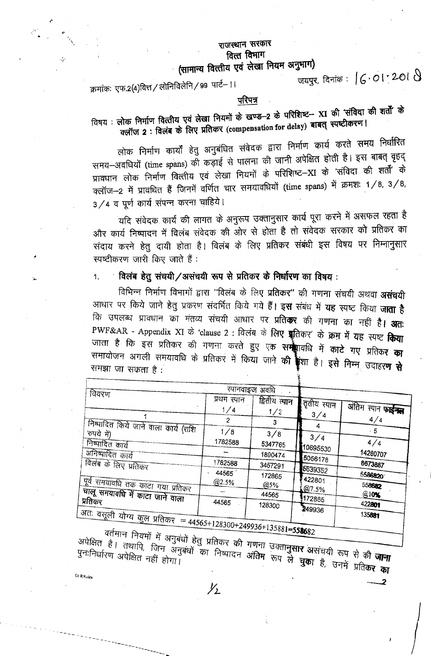## राजस्थान सरकार वित्त विभाग

## (सामान्य वित्तीय एवं लेखा नियम अनुभाग) जयपुर, दिनांक:  $|$  $6.01$ \*2018

क्रमांकः एफ.2(4)वित्त / लोनिविलेनि / 99 पार्ट- ।।

### परिपत्र

विषय : लोक निर्माण वित्तीय एवं लेखा नियमों के खण्ड-2 के परिशिष्ट-- XI की 'संविदा की शर्तों' के क्लॉज 2: विलंब के लिए प्रतिकर (compensation for delay) बाबत् स्पष्टीकरण।

लोक निर्माण कार्यों हेतु अनुबंधित संवेदक द्वारा निर्माण कार्य करते समय निर्धारित समय-अवधियों (time spans) की कड़ाई से पालना की जानी अपेक्षित होती है। इस बाबत वृहद् प्रावधान लोक निर्माण वित्तीय एवं लेखा नियमों के परिशिष्ट—XI के 'संविदा की शर्तों' के क्लॉज-2 में प्रावधित हैं जिनमें वर्णित चार समयावधियों (time spans) में क्रमशः 1/8, 3/8, 3/4 व पूर्ण कार्य संपन्न करना चाहिये।

यदि संवेदक कार्य की लागत के अनुरूप उक्तानुसार कार्य पूरा करने में असफल रहता है और कार्य निष्पादन में विलंब संवेदक की ओर से होता हैं तो संवेदक सरकार को प्रतिकर का संदाय करने हेतु दायी होता है। विलंब के लिए प्रतिकर संबंधी इस विषय पर निम्नानुसार स्पष्टीकरण जारी किए जाते हैं :

#### ं विलंब हेतु संचयी /असंचयी रूप से प्रतिकर के निर्धारण का विषय : 1.

विभिन्न निर्माण विभागों द्वारा ''विलंब के लिए **प्रतिकर''** की गणना संचयी अथवा **असंचयी** आधार पर किये जाने हेतु प्रकरण संदर्भित किये गये हैं। इस संबंध में यह स्पष्ट किया जाता है कि उपलब्ध प्रावधान का मंतव्य संचयी आधार पर प्रति**कर** की गणना का नहीं है। अतः PWF&AR - Appendix XI के 'clause 2 : विलंब के लिए प्यूतिकर' के क्रम में यह स्पष्ट किया जाता है कि इस प्रतिकर की गणना करते हुए एक सम्ह्यावधि में काटे गए प्रतिकर का समायोजन अगली समयावधि के प्रतिकर में किया जाने **की <mark>ह</mark>ुं**शा है। इसे निम्न उदाहर**ण से** समझा जा सकता है :

| विवरण                                                           | स्पानवाइज अवधि |               |              |                          |  |  |
|-----------------------------------------------------------------|----------------|---------------|--------------|--------------------------|--|--|
|                                                                 | प्रथम रपान     | द्वितीय स्पान | ततीय स्पान   |                          |  |  |
|                                                                 | 1/4            | 1/2           |              | अंतिम स्पान <b>फाईनल</b> |  |  |
|                                                                 | 2              | 3             | 3/4          | 4/4                      |  |  |
| निष्पादित किये जाने वाला कार्य (राशि                            | 1/8            |               | 4            | .5                       |  |  |
| रुपये में)                                                      | 1782588        | 3/8           | 3/4          | 4/4                      |  |  |
| निष्पादित कार्य                                                 |                | 5347765       | 10695530     |                          |  |  |
| अनिष्पादित कार्य                                                |                | 1890474       | 5056178      | 14260707                 |  |  |
| विलंब के लिए प्रतिकर                                            | 1782588        | 3457291       | 15639352     | 8673887                  |  |  |
|                                                                 | 44565          | 172865        |              | 5586820                  |  |  |
| पूर्व समयावधि तक काटा गया प्रतिकर                               | @2.5%          | @5%           | 422801       | 558682                   |  |  |
| चालू समयावधि में काटा जाने वाला                                 |                | 44565         | <b>@7.5%</b> | <b>@10%</b>              |  |  |
| प्रतिकर                                                         | 44565          | 128300        | \$172865     | 422801                   |  |  |
|                                                                 |                |               | 249936       | 135881                   |  |  |
| अतः वसूली योग्य कूल प्रतिकर = 44565+128300+249936+135881=558692 |                |               |              |                          |  |  |
|                                                                 |                |               |              |                          |  |  |

वर्तमान नियमों में अनुबंधों हेतु प्रतिकर की गणना उक्ता**नुसार अ**संचयी रूप से की **जाना** अपेक्षित है। तथापि, जिन अनुबंधों का निष्पादन अंतिम रूप ले चुका है, उनमें प्रतिकर का **GFRRules** 

 $\mathcal{Y}_2$ 

 $\overline{\mathbf{2}}$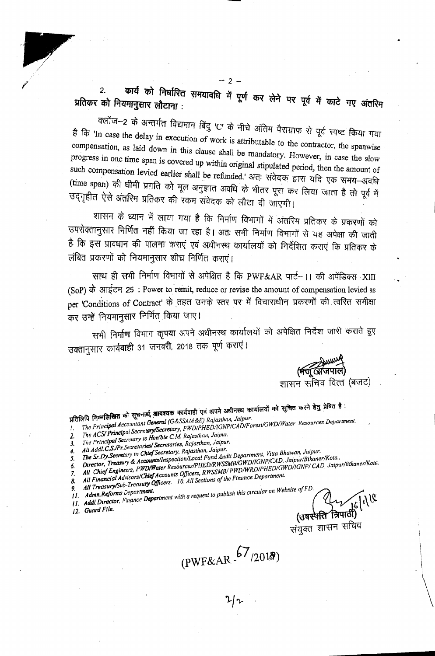कार्य को निर्धारित समयावधि में पूर्ण कर लेने पर पूर्व में काटे गए अंतरिम  $\overline{2}$ प्रतिकर को नियमानुसार लौटाना :

 $-2-$ 

क्लॉज–2 के अन्तर्गत विद्यमान बिंदु 'C' के नीचे अंतिम पैराग्राफ से पूर्व स्पष्ट किया गया है कि 'In case the delay in execution of work is attributable to the contractor, the spanwise compensation, as laid down in this clause shall be mandatory. However, in case the slow progress in one time span is covered up within original stipulated period, then the amount of such compensation levied earlier shall be refunded.' अतः संवेदक द्वारा यदि एक समय-अवधि (time span) की धीमी प्रगति को मूल अनुज्ञात अवधि के भीतर पूरा कर लिया जाता है तो पूर्व में उदगृहीत ऐसे अंतरिम प्रतिकर की रकम संवेदक को लौटा दी जाएगी।

शासन के ध्यान में लाया गया है कि निर्माण विभागों में अंतरिम प्रतिकर के प्रकरणों को उपरोक्तानुसार निर्णित नहीं किया जा रहा है। अतः सभी निर्माण विभागों से यह अपेक्षा की जाती है कि इस प्रावधान की पालना कराएं एवं अधीनस्थ कार्यालयों को निर्देशित कराएं कि प्रतिकर के लंबित प्रकरणों को नियमानुसार शीघ्र निर्णित कराएं।

साथ ही सभी निर्माण विभागों से अपेक्षित है कि PWF&AR पार्ट- ।। की अपेंडिक्स-XIII (SoP) के आईटम 25: Power to remit, reduce or revise the amount of compensation levied as per 'Conditions of Contract' के तहत उनके स्तर पर में विचाराधीन प्रकरणों की त्वरित समीक्षा कर उन्हें नियमानुसार निर्णित किया जाए।

सभी निर्माण विभाग कृपया अपने अधीनस्थ कार्यालयों को अपेक्षित निर्देश जारी कराते हुए उक्तानुसार कार्यवाही 31 जनवरी, 2018 तक पूर्ण कराएं।

शासन सचिव वित्त (बजट)

प्रतिलिपि निम्न**लिखित क**े सूचनार्थ, **आवश्यक** कार्यवाही एवं अपने अधीनस्थ कार्यालयों को सूचित करने हेतु प्रेषित है :

- The Principal Accountant General (G&SSA/A&E) Rajasthan, Jaipur. The Frincipal necessarily Secretary PWD/PHED/IGNP/CAD/Forest/GWD/Water Resources Department.<br>The ACS/Principal Secretary Secretary PWD/PHED/IGNP/CAD/Forest/GWD/Water Resources Department.
- The Principal Secretary to Hon'ble C.M. Rajasthan, Jaipur.  $\overline{\mathbf{z}}$
- All Addl. C.S./Pr. Secretaries/ Secretaries, Rajasthan, Jaipur.
- 
- The Sr. Dy. Secretary to Chief Secretary, Rajasthan, Jaipur. Director, Treasury & Accounts/Inspection/Local Fund Audit Department, Vitta Bhawan, Jaipur.  $\overline{4}$ .
- 5.
- Literion, Chapter, a Holly of Holly School and Holly Hands Repairing in Figure Diterion, Final Diterion, Science/Kota. nu Cruej Linguicio, En Gregori Rosom Contentino Bindicon Diretti Call, caparibicano (AND).<br>All Financial Advisors/Chief Accounts Officers, RWSSMB/PWD/WRD/PHED/GWD/IGNP/CAD, Jaipur/Bikaner/Kota.  $\overline{7}$
- All Treasury/Sub-Treasury Officers. 10. All Sections of the Finance Department.
- 8.
- 11. Addl Director, Finance Department with a request to publish this circular on Website of FD. 11. Admn.Reforms Department.

12. Guard File.

संयुक्त शासन सचिव

 $(PWF&AR - 67/2018)$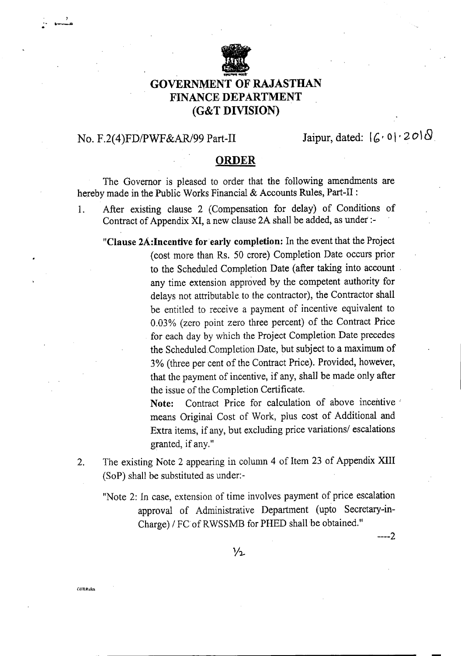

## GOVERNMENT OF RAJASTHAN FINANCE DEPARTMENT (G&T DIVISION)

## No. *F.2(4)FDIPWF&ARl99* Part-II

, " ........\_\_.. .

**GFRRules** 

Jaipur, dated:  $|G \cdot 0| \cdot 20 \cdot 8$ 

### ORDER

The Governor is pleased to order that the following amendments are hereby made in the Public Works Financial & Accounts Rules, Part-II :

1. After existing clause 2 (Compensation for delay) of Conditions of Contract of Appendix XI, a new clause 2A shall be added, as under :-

"Clause 2A:lncentive for early completion: In the event that the Project (cost more than Rs. 50 crore) Completion Date occurs prior to the Scheduled Completion Date (after taking into account any time extension approved by the competent authority for delays not attributable to the contractor), the Contractor shall be entitled to receive a payment of incentive equivalent to 0.03% (zero point zero three percent) of the Contract Price for each day by which the Project Completion Date precedes the Scheduled.Completion Date, but subject to a maximum of 3% (three per cent of the Contract Price). Provided, however, that the payment of incentive, if any, shall be made only after the issue of the Completion Certificate.

> Note: Contract Price for calculation of above incentive' means Original Cost of Work, plus cost of Additional and Extra items, if any, but excluding price variations/ escalations granted, if any."

- 2. The existing Note 2 appearing in column 4 of Item 23 of Appendix XIII (SoP) shall be substituted as under:-
	- "Note 2: In case, extension of time involves payment of price escalation approval of Administrative Department (upto Secretary-in-Charge) / FC of RWSSMB for PHED shall be obtained."

----2

-